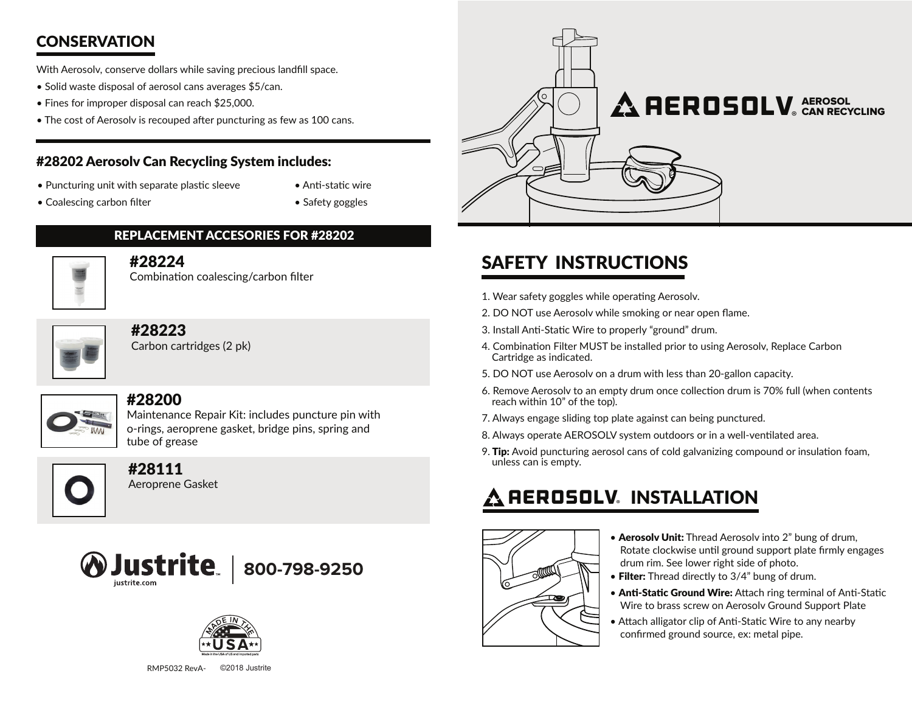## **CONSERVATION**

With Aerosolv, conserve dollars while saving precious landfill space.

- Solid waste disposal of aerosol cans averages \$5/can.
- Fines for improper disposal can reach \$25,000.
- The cost of Aerosolv is recouped after puncturing as few as 100 cans.

### #28202 Aerosolv Can Recycling System includes:

- Puncturing unit with separate plastic sleeve
- Anti-static wire • Safety goggles

• Coalescing carbon filter

### #28224

Combination coalescing/carbon filter

REPLACEMENT ACCESORIES FOR #28202



### #28223

Carbon cartridges (2 pk)



### #28200

Maintenance Repair Kit: includes puncture pin with o-rings, aeroprene gasket, bridge pins, spring and tube of grease



### #28111

Aeroprene Gasket







## SAFETY INSTRUCTIONS

- 1. Wear safety goggles while operating Aerosolv.
- 2. DO NOT use Aerosolv while smoking or near open flame.
- 3. Install Anti-Static Wire to properly "ground" drum.
- 4. Combination Filter MUST be installed prior to using Aerosolv, Replace Carbon Cartridge as indicated.
- 5. DO NOT use Aerosolv on a drum with less than 20-gallon capacity.
- 6. Remove Aerosolv to an empty drum once collection drum is 70% full (when contents reach within 10" of the top).
- 7. Always engage sliding top plate against can being punctured.
- 8. Always operate AEROSOLV system outdoors or in a well-ventilated area.
- 9. Tip: Avoid puncturing aerosol cans of cold galvanizing compound or insulation foam, unless can is empty.

# **A** REROSOLV® INSTALLATION



- Aerosolv Unit: Thread Aerosolv into 2" bung of drum, Rotate clockwise until ground support plate firmly engages drum rim. See lower right side of photo.
- Filter: Thread directly to 3/4" bung of drum.
- Anti-Static Ground Wire: Attach ring terminal of Anti-Static Wire to brass screw on Aerosolv Ground Support Plate
- Attach alligator clip of Anti-Static Wire to any nearby confirmed ground source, ex: metal pipe.

RMP5032 RevA-©2018 Justrite